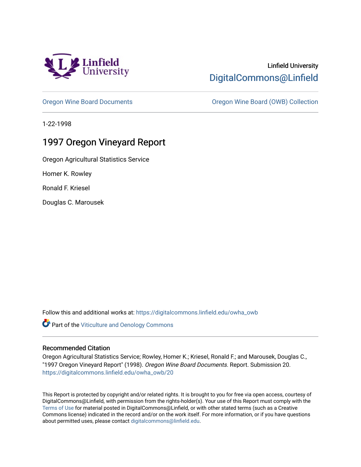

# Linfield University [DigitalCommons@Linfield](https://digitalcommons.linfield.edu/)

[Oregon Wine Board Documents](https://digitalcommons.linfield.edu/owha_owb) [Oregon Wine Board \(OWB\) Collection](https://digitalcommons.linfield.edu/owha_owb_comm) 

1-22-1998

# 1997 Oregon Vineyard Report

Oregon Agricultural Statistics Service

Homer K. Rowley

Ronald F. Kriesel

Douglas C. Marousek

Follow this and additional works at: [https://digitalcommons.linfield.edu/owha\\_owb](https://digitalcommons.linfield.edu/owha_owb?utm_source=digitalcommons.linfield.edu%2Fowha_owb%2F20&utm_medium=PDF&utm_campaign=PDFCoverPages) 

**Part of the [Viticulture and Oenology Commons](http://network.bepress.com/hgg/discipline/1264?utm_source=digitalcommons.linfield.edu%2Fowha_owb%2F20&utm_medium=PDF&utm_campaign=PDFCoverPages)** 

#### Recommended Citation

Oregon Agricultural Statistics Service; Rowley, Homer K.; Kriesel, Ronald F.; and Marousek, Douglas C., "1997 Oregon Vineyard Report" (1998). Oregon Wine Board Documents. Report. Submission 20. [https://digitalcommons.linfield.edu/owha\\_owb/20](https://digitalcommons.linfield.edu/owha_owb/20)

This Report is protected by copyright and/or related rights. It is brought to you for free via open access, courtesy of DigitalCommons@Linfield, with permission from the rights-holder(s). Your use of this Report must comply with the [Terms of Use](https://digitalcommons.linfield.edu/terms_of_use.html) for material posted in DigitalCommons@Linfield, or with other stated terms (such as a Creative Commons license) indicated in the record and/or on the work itself. For more information, or if you have questions about permitted uses, please contact [digitalcommons@linfield.edu.](mailto:digitalcommons@linfield.edu)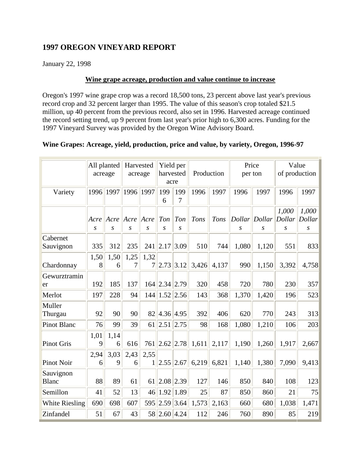### **1997 OREGON VINEYARD REPORT**

January 22, 1998

#### **Wine grape acreage, production and value continue to increase**

Oregon's 1997 wine grape crop was a record 18,500 tons, 23 percent above last year's previous record crop and 32 percent larger than 1995. The value of this season's crop totaled \$21.5 million, up 40 percent from the previous record, also set in 1996. Harvested acreage continued the record setting trend, up 9 percent from last year's prior high to 6,300 acres. Funding for the 1997 Vineyard Survey was provided by the Oregon Wine Advisory Board.

### **Wine Grapes: Acreage, yield, production, price and value, by variety, Oregon, 1996-97**

|                           | acreage   | All planted |           | Harvested<br>acreage   | harvested<br>acre | Yield per | Production |       | Price<br>per ton |       | Value<br>of production |                  |
|---------------------------|-----------|-------------|-----------|------------------------|-------------------|-----------|------------|-------|------------------|-------|------------------------|------------------|
| Variety                   | 1996      | 1997        | 1996      | 1997                   | 199<br>6          | 199<br>7  | 1996       | 1997  | 1996             | 1997  | 1996                   | 1997             |
|                           | Acre Acre |             | $  $ Acre | Acre                   | Ton               | Ton       | Tons       | Tons  | Dollar Dollar    |       | 1,000<br>Dollar        | 1,000<br>Dollar  |
|                           | S         | S           | S         | S                      | S                 | S         |            |       | S                | S     | $\boldsymbol{S}$       | $\boldsymbol{S}$ |
| Cabernet<br>Sauvignon     | 335       | 312         | 235       | 241                    | 2.17 3.09         |           | 510        | 744   | 1,080            | 1,120 | 551                    | 833              |
| Chardonnay                | 1,50<br>8 | 1,50<br>6   | 1,25<br>7 | 1,32<br>$\overline{7}$ | 2.73              | 3.12      | 3,426      | 4,137 | 990              | 1,150 | 3,392                  | 4,758            |
| Gewurztramin<br>er        | 192       | 185         | 137       |                        | 164 2.34 2.79     |           | 320        | 458   | 720              | 780   | 230                    | 357              |
| Merlot                    | 197       | 228         | 94        |                        | 144 1.52 2.56     |           | 143        | 368   | 1,370            | 1,420 | 196                    | 523              |
| Muller<br>Thurgau         | 92        | 90          | 90        |                        | 82 4.36 4.95      |           | 392        | 406   | 620              | 770   | 243                    | 313              |
| <b>Pinot Blanc</b>        | 76        | 99          | 39        | 61                     | 2.51   2.75       |           | 98         | 168   | 1,080            | 1,210 | 106                    | 203              |
| <b>Pinot Gris</b>         | 1,01<br>9 | 1,14<br>6   | 616       | 761                    | 2.62 2.78         |           | 1,611      | 2,117 | 1,190            | 1,260 | 1,917                  | 2,667            |
| <b>Pinot Noir</b>         | 2,94<br>6 | 3,03<br>9   | 2,43<br>6 | 2,55<br>$\mathbf{1}$   | 2.55 2.67         |           | 6,219      | 6,821 | 1,140            | 1,380 | 7,090                  | 9,413            |
| Sauvignon<br><b>Blanc</b> | 88        | 89          | 61        | 61                     | 2.08 2.39         |           | 127        | 146   | 850              | 840   | 108                    | 123              |
| Semillon                  | 41        | 52          | 13        | 46                     | 1.92              | 1.89      | 25         | 87    | 850              | 860   | 21                     | 75               |
| White Riesling            | 690       | 698         | 607       | 595                    | 2.59 3.64         |           | 1,573      | 2,163 | 660              | 680   | 1,038                  | 1,471            |
| Zinfandel                 | 51        | 67          | 43        |                        | 58 2.60 4.24      |           | 112        | 246   | 760              | 890   | 85                     | 219              |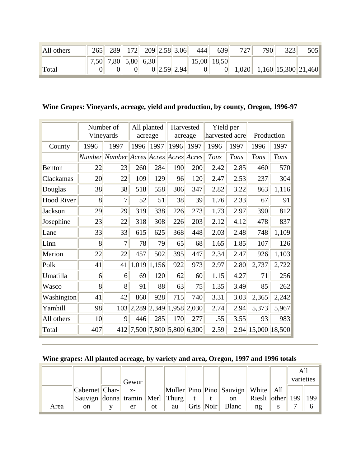| All others | 265 | 289                 | 172 209 2.58 3.06 |             | 444 | 639             | 727   | 790 | 323                       | 505 |
|------------|-----|---------------------|-------------------|-------------|-----|-----------------|-------|-----|---------------------------|-----|
|            |     | 7,50 7,80 5,80 6,30 |                   |             |     | $15,00$   18,50 |       |     |                           |     |
| Total      |     |                     |                   | 0 2.59 2.94 |     | $\vert 0 \vert$ | 1,020 |     | $1,160$   15,300   21,460 |     |

**Wine Grapes: Vineyards, acreage, yield and production, by county, Oregon, 1996-97**

|                   | Number of<br>Vineyards |                                       | acreage | All planted     | Harvested<br>acreage    |             | Yield per<br>harvested acre |             | Production |        |
|-------------------|------------------------|---------------------------------------|---------|-----------------|-------------------------|-------------|-----------------------------|-------------|------------|--------|
| County            | 1996                   | 1997                                  | 1996    | 1997            | 1996                    | 1997        | 1996                        | 1997        | 1996       | 1997   |
|                   |                        | Number Number Acres Acres Acres Acres |         |                 |                         |             | Tons                        | <b>Tons</b> | Tons       | Tons   |
| Benton            | 22                     | 23                                    | 260     | 284             | 190                     | 200         | 2.42                        | 2.85        | 460        | 570    |
| Clackamas         | 20                     | 22                                    | 109     | 129             | 96                      | 120         | 2.47                        | 2.53        | 237        | 304    |
| Douglas           | 38                     | 38                                    | 518     | 558             | 306                     | 347         | 2.82                        | 3.22        | 863        | 1,116  |
| <b>Hood River</b> | 8                      | 7                                     | 52      | 51              | 38                      | 39          | 1.76                        | 2.33        | 67         | 91     |
| Jackson           | 29                     | 29                                    | 319     | 338             | 226                     | 273         | 1.73                        | 2.97        | 390        | 812    |
| Josephine         | 23                     | 22                                    | 318     | 308             | 226                     | 203         | 2.12                        | 4.12        | 478        | 837    |
| Lane              | 33                     | 33                                    | 615     | 625             | 368                     | 448         | 2.03                        | 2.48        | 748        | 1,109  |
| Linn              | 8                      | 7                                     | 78      | 79              | 65                      | 68          | 1.65                        | 1.85        | 107        | 126    |
| Marion            | 22                     | 22                                    | 457     | 502             | 395                     | 447         | 2.34                        | 2.47        | 926        | 1,103  |
| Polk              | 41                     | 41                                    |         | $1,019$   1,156 | 922                     | 973         | 2.97                        | 2.80        | 2,737      | 2,722  |
| Umatilla          | 6                      | 6                                     | 69      | 120             | 62                      | 60          | 1.15                        | 4.27        | 71         | 256    |
| Wasco             | 8                      | 8                                     | 91      | 88              | 63                      | 75          | 1.35                        | 3.49        | 85         | 262    |
| Washington        | 41                     | 42                                    | 860     | 928             | 715                     | 740         | 3.31                        | 3.03        | 2,365      | 2,242  |
| Yamhill           | 98                     | 103                                   | 2,289   | 2,349           |                         | 1,958 2,030 | 2.74                        | 2.94        | 5,373      | 5,967  |
| All others        | 10                     | 9                                     | 446     | 285             | 170                     | 277         | .55                         | 3.55        | 93         | 983    |
| Total             | 407                    | 412                                   |         |                 | 7,500 7,800 5,800 6,300 |             | 2.59                        | 2.94        | 15,000     | 18,500 |

## **Wine grapes: All planted acreage, by variety and area, Oregon, 1997 and 1996 totals**

|      |                                             |       |    |    |           |                                                                           |                  | All       |               |
|------|---------------------------------------------|-------|----|----|-----------|---------------------------------------------------------------------------|------------------|-----------|---------------|
|      |                                             | Gewur |    |    |           |                                                                           |                  | varieties |               |
|      | Cabernet Char-                              | $Z-$  |    |    |           | $\ \text{Muller}\ $ Pino $\ \text{Pino}\ $ Sauvign $\ \text{White}\ $ All |                  |           |               |
|      | Sauvign    donna    tramin    Merl    Thurg |       |    |    |           | on                                                                        | Riesli other 199 |           | $ 199\rangle$ |
| Area | <sub>on</sub>                               | er    | 0t | au | Gris Noir | Blanc                                                                     | $n$ g            |           | b             |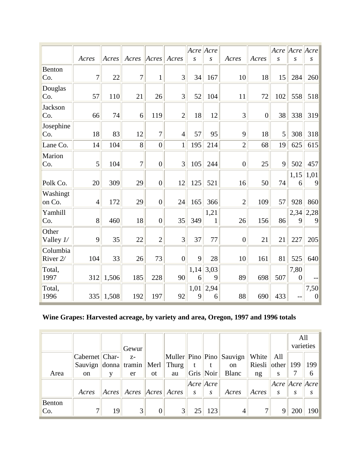|                      |                |       |                |                |                | Acre Acre |                      |                |                |                | Acre Acre Acre         |                        |
|----------------------|----------------|-------|----------------|----------------|----------------|-----------|----------------------|----------------|----------------|----------------|------------------------|------------------------|
|                      | Acres          | Acres | Acres          | Acres          | Acres          | S         | S                    | Acres          | Acres          | S              | S                      | S                      |
| Benton<br>Co.        | $\overline{7}$ | 22    | $\overline{7}$ | $\mathbf{1}$   | 3              | 34        | 167                  | 10             | 18             | 15             | 284                    | 260                    |
| Douglas<br>Co.       | 57             | 110   | 21             | 26             | $\overline{3}$ | 52        | 104                  | 11             | 72             | 102            | 558                    | 518                    |
| Jackson<br>Co.       | 66             | 74    | 6              | 119            | $\overline{2}$ | 18        | 12                   | 3              | $\overline{0}$ | 38             | 338                    | 319                    |
| Josephine<br>Co.     | 18             | 83    | 12             | $\overline{7}$ | $\overline{4}$ | 57        | 95                   | 9              | 18             | $\overline{5}$ | 308                    | 318                    |
| Lane Co.             | 14             | 104   | 8              | $\overline{0}$ | $\mathbf{1}$   | 195       | 214                  | $\overline{2}$ | 68             | 19             | 625                    | 615                    |
| Marion<br>Co.        | 5              | 104   | $\overline{7}$ | $\overline{0}$ | 3              | 105       | 244                  | $\overline{0}$ | 25             | $\overline{9}$ | 502                    | 457                    |
| Polk Co.             | 20             | 309   | 29             | $\overline{0}$ | 12             | 125       | 521                  | 16             | 50             | 74             | 1,15<br>6              | 1,01<br>9              |
| Washingt<br>on Co.   | $\overline{4}$ | 172   | 29             | $\overline{0}$ | 24             | 165       | 366                  | $\overline{c}$ | 109            | 57             | 928                    | 860                    |
| Yamhill<br>Co.       | 8              | 460   | 18             | $\overline{0}$ | 35             | 349       | 1,21<br>$\mathbf{1}$ | 26             | 156            | 86             | 2,34<br>9              | 2,28<br>9              |
| Other<br>Valley $1/$ | 9              | 35    | 22             | $\overline{2}$ | 3              | 37        | 77                   | $\overline{0}$ | 21             | 21             | 227                    | 205                    |
| Columbia<br>River 2/ | 104            | 33    | 26             | 73             | $\overline{0}$ | 9         | 28                   | 10             | 161            | 81             | 525                    | 640                    |
| Total,<br>1997       | 312            | 1,506 | 185            | 228            | 90             | 1,14<br>6 | 3,03<br>9            | 89             | 698            | 507            | 7,80<br>$\overline{0}$ |                        |
| Total,<br>1996       | 335            | 1,508 | 192            | 197            | 92             | 1,01<br>9 | 2,94<br>6            | 88             | 690            | 433            |                        | 7,50<br>$\overline{0}$ |

# **Wine Grapes: Harvested acreage, by variety and area, Oregon, 1997 and 1996 totals**

|               |                                          |                | Gewur             |    |                |                  |                   |                          |                |                        | All<br>varieties |     |
|---------------|------------------------------------------|----------------|-------------------|----|----------------|------------------|-------------------|--------------------------|----------------|------------------------|------------------|-----|
|               | Cabernet Char-                           |                | $Z-$              |    |                |                  |                   | Muller Pino Pino Sauvign | White          | All                    |                  |     |
|               | Sauvign $\ $ donna $\ $ tramin $\ $ Merl |                |                   |    | Thurg          | t                | t                 | on                       | Riesli   other |                        | 199              | 199 |
| Area          | <sub>on</sub>                            |                | er                | 0t | au             |                  | Gris Noir         | Blanc                    | ng             | S                      |                  | 6   |
|               |                                          |                |                   |    |                |                  | $ Acre $ $ Acre $ |                          |                | $ Acre $ Acre $ Acre $ |                  |     |
|               | Acres                                    | $ A$ cres $  $ | Acres Acres Acres |    |                | $\boldsymbol{S}$ | $\boldsymbol{S}$  | Acres                    | Acres          | S                      | S                | S   |
| Benton<br>Co. | $\mathcal{I}$                            | 19             | 3                 | 0  | 3 <sup>l</sup> | 25               | 123               | 4                        | 7              | 9                      | 200              | 190 |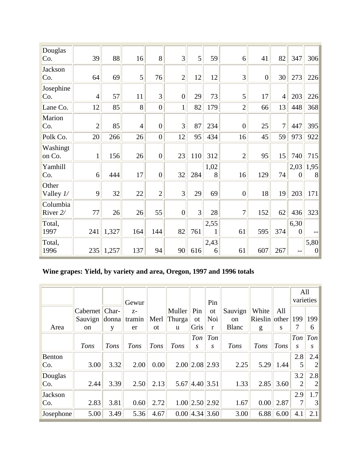| Douglas<br>Co.       | 39             | 88    | 16             | 8              | 3                | 5   | 59        | 6                | 41               | 82             | 347                    | 306                    |
|----------------------|----------------|-------|----------------|----------------|------------------|-----|-----------|------------------|------------------|----------------|------------------------|------------------------|
| Jackson<br>Co.       | 64             | 69    | 5 <sup>1</sup> | 76             | $\overline{2}$   | 12  | 12        | 3                | $\boldsymbol{0}$ | 30             | 273                    | 226                    |
| Josephine<br>Co.     | $\overline{4}$ | 57    | 11             | $\overline{3}$ | $\boldsymbol{0}$ | 29  | 73        | 5                | 17               | $\overline{4}$ | 203                    | 226                    |
| Lane Co.             | 12             | 85    | 8              | $\overline{0}$ | $\mathbf{1}$     | 82  | 179       | $\overline{2}$   | 66               | 13             | 448                    | 368                    |
| Marion<br>Co.        | $\overline{2}$ | 85    | $\overline{4}$ | $\overline{0}$ | 3                | 87  | 234       | $\overline{0}$   | 25               | $\overline{7}$ | 447                    | 395                    |
| Polk Co.             | 20             | 266   | 26             | $\overline{0}$ | 12               | 95  | 434       | 16               | 45               | 59             | 973                    | 922                    |
| Washingt<br>on Co.   | $\mathbf{1}$   | 156   | 26             | $\overline{0}$ | 23               | 110 | 312       | $\overline{c}$   | 95               | 15             | 740                    | 715                    |
| Yamhill<br>Co.       | 6              | 444   | 17             | $\overline{0}$ | 32               | 284 | 1,02<br>8 | 16               | 129              | 74             | 2,03<br>$\overline{0}$ | 1,95<br>8              |
| Other<br>Valley $1/$ | 9              | 32    | 22             | $\overline{2}$ | 3                | 29  | 69        | $\boldsymbol{0}$ | 18               | 19             | 203                    | 171                    |
| Columbia<br>River 2/ | 77             | 26    | 26             | 55             | $\overline{0}$   | 3   | 28        | 7                | 152              | 62             | 436                    | 323                    |
| Total,<br>1997       | 241            | 1,327 | 164            | 144            | 82               | 761 | 2,55<br>1 | 61               | 595              | 374            | 6,30<br>$\overline{0}$ |                        |
| Total,<br>1996       | 235            | 1,257 | 137            | 94             | 90               | 616 | 2,43<br>6 | 61               | 607              | 267            |                        | 5,80<br>$\overline{0}$ |

# **Wine grapes: Yield, by variety and area, Oregon, 1997 and 1996 totals**

|           |                        |       |        |               |        |                      |               |               |               |      | All<br>varieties |            |
|-----------|------------------------|-------|--------|---------------|--------|----------------------|---------------|---------------|---------------|------|------------------|------------|
|           |                        |       | Gewur  |               |        |                      | Pin           |               |               |      |                  |            |
|           | Cabernet <sup>  </sup> | Char- | $Z-$   |               | Muller | Pin                  | <b>ot</b>     | Sauvign       | White         | All  |                  |            |
|           | Sauvign                | donna | tramin | Merl          | Thurga | <b>ot</b>            | Noi           | <sub>on</sub> | Rieslin other |      | 199              | 199        |
| Area      | on                     | y     | er     | <sub>ot</sub> | u      | Gris                 | r             | <b>Blanc</b>  | g             | S    | 7                | 6          |
|           |                        |       |        |               |        | Ton                  | Ton           |               |               |      | Ton              | $ T_{on} $ |
|           | Tons                   | Tons  | Tons   | Tons          | Tons   | $\mathcal{S}$        | $\mathcal{S}$ | Tons          | Tons          | Tons | S                | S.         |
| Benton    |                        |       |        |               |        |                      |               |               |               |      | 2.8              | 2.4        |
| Co.       | 3.00                   | 3.32  | 2.00   | 0.00          |        | $2.00$  2.08 2.93    |               | 2.25          | 5.29          | 1.44 |                  | 2          |
| Douglas   |                        |       |        |               |        |                      |               |               |               |      | 3.2              | 2.8        |
| Co.       | 2.44                   | 3.39  | 2.50   | 2.13          |        | 5.67 4.40 3.51       |               | 1.33          | 2.85          | 3.60 | $\overline{2}$   | 2          |
| Jackson   |                        |       |        |               |        |                      |               |               |               |      | 2.9              | 1.7        |
| Co.       | 2.83                   | 3.81  | 0.60   | 2.72          |        | $1.00$ $2.50$ $2.92$ |               | 1.67          | 0.00          | 2.87 |                  | 3          |
| Josephone | 5.00                   | 3.49  | 5.36   | 4.67          |        | $0.00$   4.34   3.60 |               | 3.00          | 6.88          | 6.00 | 4.1              | 2.1        |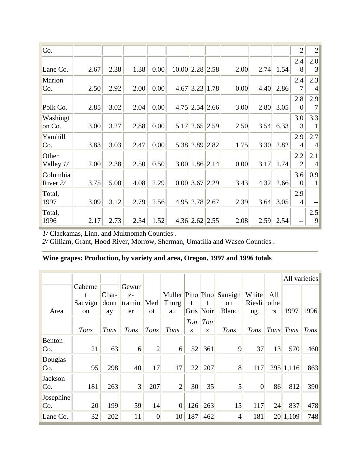| Co.         |      |      |      |      |             |                |                     |      |      |      | $\overline{2}$ | $\overline{2}$ |
|-------------|------|------|------|------|-------------|----------------|---------------------|------|------|------|----------------|----------------|
|             |      |      |      |      |             |                |                     |      |      |      | 2.4            | 2.0            |
| Lane Co.    | 2.67 | 2.38 | 1.38 | 0.00 | 10.00  2.28 |                | 2.58                | 2.00 | 2.74 | 1.54 | 8              | 3              |
| Marion      |      |      |      |      |             |                |                     |      |      |      | 2.4            | 2.3            |
| Co.         | 2.50 | 2.92 | 2.00 | 0.00 | 4.67        |                | 3.23 1.78           | 0.00 | 4.40 | 2.86 | 7              | 4              |
|             |      |      |      |      |             |                |                     |      |      |      | 2.8            | 2.9            |
| Polk Co.    | 2.85 | 3.02 | 2.04 | 0.00 |             |                | $4.75$ 2.54 2.66    | 3.00 | 2.80 | 3.05 | $\overline{0}$ |                |
| Washingt    |      |      |      |      |             |                |                     |      |      |      | 3.0            | 3.3            |
| on Co.      | 3.00 | 3.27 | 2.88 | 0.00 | 5.17        |                | 2.65 2.59           | 2.50 | 3.54 | 6.33 | 3              |                |
| Yamhill     |      |      |      |      |             |                |                     |      |      |      | 2.9            | 2.7            |
| Co.         | 3.83 | 3.03 | 2.47 | 0.00 |             |                | 5.38 2.89 2.82      | 1.75 | 3.30 | 2.82 | 4              | 4              |
| Other       |      |      |      |      |             |                |                     |      |      |      | 2.2            | 2.1            |
| Valley $1/$ | 2.00 | 2.38 | 2.50 | 0.50 |             |                | $3.00$   1.86  2.14 | 0.00 | 3.17 | 1.74 | $\overline{2}$ | $\overline{A}$ |
| Columbia    |      |      |      |      |             |                |                     |      |      |      | 3.6            | 0.9            |
| River 2/    | 3.75 | 5.00 | 4.08 | 2.29 |             | $0.00$   3.67  | 2.29                | 3.43 | 4.32 | 2.66 | $\overline{0}$ |                |
| Total,      |      |      |      |      |             |                |                     |      |      |      | 2.9            |                |
| 1997        | 3.09 | 3.12 | 2.79 | 2.56 |             | 4.95 2.78 2.67 |                     | 2.39 | 3.64 | 3.05 | $\overline{4}$ |                |
| Total,      |      |      |      |      |             |                |                     |      |      |      |                | 2.5            |
| 1996        | 2.17 | 2.73 | 2.34 | 1.52 |             | $4.36$ 2.62    | 2.55                | 2.08 | 2.59 | 2.54 |                | 9              |

I/Clackamas, Linn, and Multnomah Counties.

2/ Gilliam, Grant, Hood River, Morrow, Sherman, Umatilla and Wasco Counties.

## Wine grapes: Production, by variety and area, Oregon, 1997 and 1996 totals

|               |               |             |                |                |                  |     |            |                |                |      | All varieties |      |
|---------------|---------------|-------------|----------------|----------------|------------------|-----|------------|----------------|----------------|------|---------------|------|
|               | Caberne       |             | Gewur          |                |                  |     |            |                |                |      |               |      |
|               | t             | Char-       | $Z-$           |                | Muller Pino Pino |     |            | Sauvign        | White          | All  |               |      |
|               | Sauvign       | donn        | tramin         | Merl           | Thurg            | t   | t          | on             | Riesli         | othe |               |      |
| Area          | <sub>on</sub> | ay          | er             | <sub>ot</sub>  | au               |     | Gris Noir  | <b>Blanc</b>   | ng             | rs   | 1997          | 1996 |
|               |               |             |                |                |                  | Ton | $\sqrt{a}$ |                |                |      |               |      |
|               | Tons          | <b>Tons</b> | <b>Tons</b>    | Tons           | Tons             | S   | S          | Tons           | Tons           | Tons | Tons          | Tons |
| <b>Benton</b> |               |             |                |                |                  |     |            |                |                |      |               |      |
| Co.           | 21            | 63          | 6              | $\overline{2}$ | 6                | 52  | 361        | 9              | 37             | 13   | 570           | 460  |
| Douglas       |               |             |                |                |                  |     |            |                |                |      |               |      |
| Co.           | 95            | 298         | 40             | 17             | 17               | 22  | 207        | 8              | 117            |      | 295 1,116     | 863  |
| Jackson       |               |             |                |                |                  |     |            |                |                |      |               |      |
| Co.           | 181           | 263         | $\overline{3}$ | 207            | $\overline{2}$   | 30  | 35         | 5              | $\overline{0}$ | 86   | 812           | 390  |
| Josephine     |               |             |                |                |                  |     |            |                |                |      |               |      |
| Co.           | 20            | 199         | 59             | 14             | $\overline{0}$   | 126 | 263        | 15             | 117            | 24   | 837           | 478  |
| Lane Co.      | 32            | 202         | 11             | $\overline{0}$ | 10               | 187 | 462        | $\overline{4}$ | 181            | 20   | 1,109         | 748  |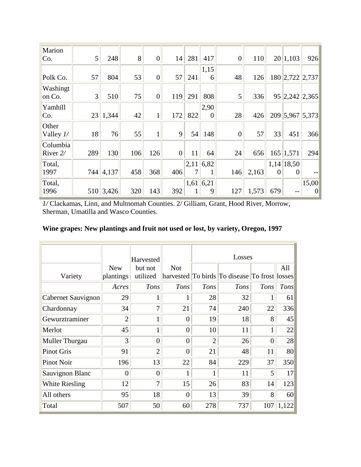| Marion<br>Co.        | $\vert 5 \vert$ | 248   | 8   | $\overline{0}$ | 14             | 281       | 417            | $\overline{0}$ | 110   |          | 20 1,103                    | 926               |
|----------------------|-----------------|-------|-----|----------------|----------------|-----------|----------------|----------------|-------|----------|-----------------------------|-------------------|
| Polk Co.             | 57              | 804   | 53  | $\overline{0}$ | 57             | 241       | 1,15<br>6      | 48             | 126   |          | 180 2,722 2,737             |                   |
| Washingt             |                 |       |     |                |                |           |                |                |       |          |                             |                   |
| on Co.               | $\overline{3}$  | 510   | 75  | $\overline{0}$ | 119            | 291       | 808            | 5              | 336   |          | 95 2,242 2,365              |                   |
| Yamhill              |                 |       |     |                |                |           | 2,90           |                |       |          |                             |                   |
| Co.                  | 23              | 1,344 | 42  | $\mathbf{1}$   | 172            | 822       | $\overline{0}$ | 28             | 426   |          | 209 5,967 5,373             |                   |
| Other<br>Valley $1/$ | 18              | 76    | 55  | $\mathbf{1}$   | $\overline{9}$ | 54        | 148            | $\overline{0}$ | 57    | 33       | 451                         | 366               |
| Columbia<br>River 2/ | 289             | 130   | 106 | 126            | $\overline{0}$ | 11        | 64             | 24             | 656   |          | 165 1,571                   | 294               |
| Total,<br>1997       | 744             | 4,137 | 458 | 368            | 406            | 2,11<br>7 | 6,82<br>1      | 146            | 2,163 | $\Omega$ | $1,14$   18,50 <br>$\Omega$ |                   |
| Total,<br>1996       | 510             | 3,426 | 320 | 143            | 392            | 1,61<br>1 | 6,21 <br>9     | 127            | 1,573 | 679      |                             | 15,00<br>$\theta$ |

*1/* Clackamas, Linn, and Multnomah Counties. 2/ Gilliam, Grant, Hood River, Morrow, Sherman, Umatilla and Wasco Counties.

| Wine grapes: New plantings and fruit not used or lost, by variety, Oregon, 1997 |  |  |  |  |
|---------------------------------------------------------------------------------|--|--|--|--|
|---------------------------------------------------------------------------------|--|--|--|--|

|                    |                | Harvested      |                | Losses         |                                               |                |       |
|--------------------|----------------|----------------|----------------|----------------|-----------------------------------------------|----------------|-------|
|                    | <b>New</b>     | but not        | <b>Not</b>     |                |                                               |                | All   |
| Variety            | plantings      | utilized       |                |                | harvested To birds To disease To frost losses |                |       |
|                    | Acres          | Tons           | Tons           | <b>Tons</b>    | Tons                                          | <b>Tons</b>    | Tons  |
| Cabernet Sauvignon | 29             | 1              |                | 28             | 32                                            | 1              | 61    |
| Chardonnay         | 34             | $\overline{7}$ | 21             | 74             | 240                                           | 22             | 336   |
| Gewurztraminer     | $\overline{2}$ | $\mathbf{1}$   | $\overline{0}$ | 19             | 18                                            | 8              | 45    |
| Merlot             | 45             | 1              | $\theta$       | 10             | 11                                            | $\mathbf{1}$   | 22    |
| Muller Thurgau     | 3              | $\overline{0}$ | $\overline{0}$ | $\overline{2}$ | 26                                            | $\overline{0}$ | 28    |
| <b>Pinot Gris</b>  | 91             | $\overline{2}$ | $\Omega$       | 21             | 48                                            | 11             | 80    |
| <b>Pinot Noir</b>  | 196            | 13             | 22             | 84             | 229                                           | 37             | 350   |
| Sauvignon Blanc    | $\theta$       | $\overline{0}$ |                |                | 11                                            | $\mathfrak{S}$ | 17    |
| White Riesling     | 12             | 7              | 15             | 26             | 83                                            | 14             | 123   |
| All others         | 95             | 18             | 0              | 13             | 39                                            | 8              | 60    |
| Total              | 507            | 50             | 60             | 278            | 737                                           | 107            | 1,122 |